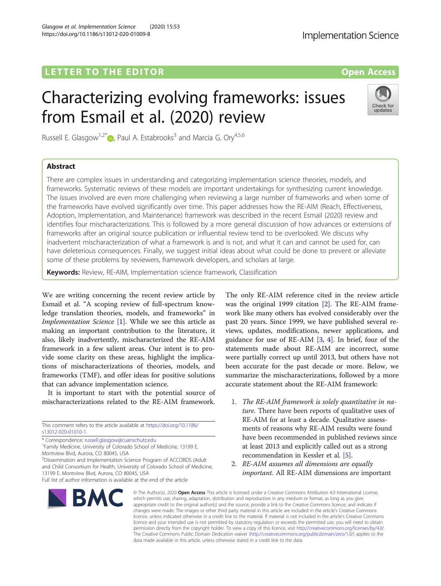# LETTER TO THE EDITOR **CONSIDERATION**

# Characterizing evolving frameworks: issues

Russell E. Glasgow<sup>1[,](http://orcid.org/0000-0003-4218-3231)2\*</sup>  $\bullet$ , Paul A. Estabrooks<sup>3</sup> and Marcia G. Ory<sup>4,5,6</sup>

# Abstract

There are complex issues in understanding and categorizing implementation science theories, models, and frameworks. Systematic reviews of these models are important undertakings for synthesizing current knowledge. The issues involved are even more challenging when reviewing a large number of frameworks and when some of the frameworks have evolved significantly over time. This paper addresses how the RE-AIM (Reach, Effectiveness, Adoption, Implementation, and Maintenance) framework was described in the recent Esmail (2020) review and identifies four mischaracterizations. This is followed by a more general discussion of how advances or extensions of frameworks after an original source publication or influential review tend to be overlooked. We discuss why inadvertent mischaracterization of what a framework is and is not, and what it can and cannot be used for, can have deleterious consequences. Finally, we suggest initial ideas about what could be done to prevent or alleviate some of these problems by reviewers, framework developers, and scholars at large.

**Keywords:** Review, RE-AIM, Implementation science framework, Classification

We are writing concerning the recent review article by Esmail et al. "A scoping review of full-spectrum knowledge translation theories, models, and frameworks" in Implementation Science [\[1](#page-2-0)]. While we see this article as making an important contribution to the literature, it also, likely inadvertently, mischaracterized the RE-AIM framework in a few salient areas. Our intent is to provide some clarity on these areas, highlight the implications of mischaracterizations of theories, models, and frameworks (TMF), and offer ideas for positive solutions that can advance implementation science.

It is important to start with the potential source of mischaracterizations related to the RE-AIM framework.

This comment refers to the article available at [https://doi.org/10.1186/](https://doi.org/10.1186/s13012-020-01010-1) [s13012-020-01010-1](https://doi.org/10.1186/s13012-020-01010-1).

\* Correspondence: [russell.glasgow@cuanschutz.edu](mailto:russell.glasgow@cuanschutz.edu) <sup>1</sup>

**BMC** 

<sup>1</sup> Family Medicine, University of Colorado School of Medicine, 13199 E. Montview Blvd, Aurora, CO 80045, USA

<sup>2</sup>Dissemination and Implementation Science Program of ACCORDS (Adult and Child Consortium for Health, University of Colorado School of Medicine, 13199 E. Montview Blvd, Aurora, CO 80045, USA

The only RE-AIM reference cited in the review article was the original 1999 citation [\[2\]](#page-2-0). The RE-AIM framework like many others has evolved considerably over the past 20 years. Since 1999, we have published several reviews, updates, modifications, newer applications, and guidance for use of RE-AIM [\[3,](#page-2-0) [4\]](#page-2-0). In brief, four of the statements made about RE-AIM are incorrect, some were partially correct up until 2013, but others have not been accurate for the past decade or more. Below, we summarize the mischaracterizations, followed by a more accurate statement about the RE-AIM framework:

- 1. The RE-AIM framework is solely quantitative in nature. There have been reports of qualitative uses of RE-AIM for at least a decade. Qualitative assessments of reasons why RE-AIM results were found have been recommended in published reviews since at least 2013 and explicitly called out as a strong recommendation in Kessler et al. [\[5](#page-2-0)].
- 2. RE-AIM assumes all dimensions are equally important. All RE-AIM dimensions are important

© The Author(s), 2020 **Open Access** This article is licensed under a Creative Commons Attribution 4.0 International License, which permits use, sharing, adaptation, distribution and reproduction in any medium or format, as long as you give appropriate credit to the original author(s) and the source, provide a link to the Creative Commons licence, and indicate if changes were made. The images or other third party material in this article are included in the article's Creative Commons licence, unless indicated otherwise in a credit line to the material. If material is not included in the article's Creative Commons licence and your intended use is not permitted by statutory regulation or exceeds the permitted use, you will need to obtain permission directly from the copyright holder. To view a copy of this licence, visit [http://creativecommons.org/licenses/by/4.0/.](http://creativecommons.org/licenses/by/4.0/) The Creative Commons Public Domain Dedication waiver [\(http://creativecommons.org/publicdomain/zero/1.0/](http://creativecommons.org/publicdomain/zero/1.0/)) applies to the data made available in this article, unless otherwise stated in a credit line to the data.

**Implementation Science** 

# from Esmail et al. (2020) review

Check for

undate





Full list of author information is available at the end of the article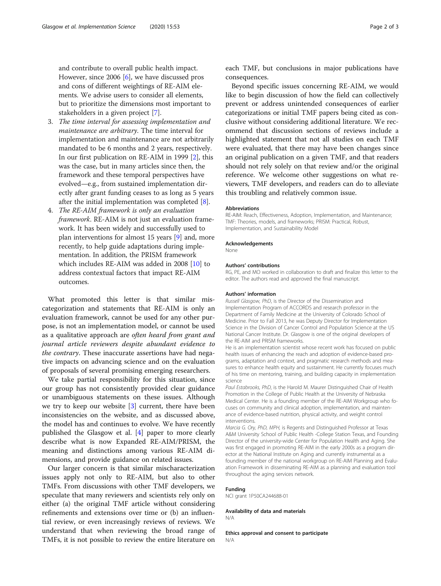and contribute to overall public health impact. However, since 2006 [[6\]](#page-2-0), we have discussed pros and cons of different weightings of RE-AIM elements. We advise users to consider all elements, but to prioritize the dimensions most important to stakeholders in a given project [\[7\]](#page-2-0).

- 3. The time interval for assessing implementation and maintenance are arbitrary. The time interval for implementation and maintenance are not arbitrarily mandated to be 6 months and 2 years, respectively. In our first publication on RE-AIM in 1999 [\[2](#page-2-0)], this was the case, but in many articles since then, the framework and these temporal perspectives have evolved—e.g., from sustained implementation directly after grant funding ceases to as long as 5 years after the initial implementation was completed [[8\]](#page-2-0).
- 4. The RE-AIM framework is only an evaluation framework. RE-AIM is not just an evaluation framework. It has been widely and successfully used to plan interventions for almost 15 years [\[9\]](#page-2-0) and, more recently, to help guide adaptations during implementation. In addition, the PRISM framework which includes RE-AIM was added in 2008 [\[10\]](#page-2-0) to address contextual factors that impact RE-AIM outcomes.

What promoted this letter is that similar miscategorization and statements that RE-AIM is only an evaluation framework, cannot be used for any other purpose, is not an implementation model, or cannot be used as a qualitative approach are often heard from grant and journal article reviewers despite abundant evidence to the contrary. These inaccurate assertions have had negative impacts on advancing science and on the evaluation of proposals of several promising emerging researchers.

We take partial responsibility for this situation, since our group has not consistently provided clear guidance or unambiguous statements on these issues. Although we try to keep our website [\[3](#page-2-0)] current, there have been inconsistencies on the website, and as discussed above, the model has and continues to evolve. We have recently published the Glasgow et al. [[4\]](#page-2-0) paper to more clearly describe what is now Expanded RE-AIM/PRISM, the meaning and distinctions among various RE-AIM dimensions, and provide guidance on related issues.

Our larger concern is that similar mischaracterization issues apply not only to RE-AIM, but also to other TMFs. From discussions with other TMF developers, we speculate that many reviewers and scientists rely only on either (a) the original TMF article without considering refinements and extensions over time or (b) an influential review, or even increasingly reviews of reviews. We understand that when reviewing the broad range of TMFs, it is not possible to review the entire literature on

each TMF, but conclusions in major publications have consequences.

Beyond specific issues concerning RE-AIM, we would like to begin discussion of how the field can collectively prevent or address unintended consequences of earlier categorizations or initial TMF papers being cited as conclusive without considering additional literature. We recommend that discussion sections of reviews include a highlighted statement that not all studies on each TMF were evaluated, that there may have been changes since an original publication on a given TMF, and that readers should not rely solely on that review and/or the original reference. We welcome other suggestions on what reviewers, TMF developers, and readers can do to alleviate this troubling and relatively common issue.

### Abbreviations

RE-AIM: Reach, Effectiveness, Adoption, Implementation, and Maintenance; TMF: Theories, models, and frameworks; PRISM: Practical, Robust, Implementation, and Sustainability Model

### Acknowledgements

None

# Authors' contributions

RG, PE, and MO worked in collaboration to draft and finalize this letter to the editor. The authors read and approved the final manuscript.

# Authors' information

Russell Glasgow, PhD, is the Director of the Dissemination and Implementation Program of ACCORDS and research professor in the Department of Family Medicine at the University of Colorado School of Medicine. Prior to Fall 2013, he was Deputy Director for Implementation Science in the Division of Cancer Control and Population Science at the US National Cancer Institute. Dr. Glasgow is one of the original developers of the RE-AIM and PRISM frameworks.

He is an implementation scientist whose recent work has focused on public health issues of enhancing the reach and adoption of evidence-based programs, adaptation and context, and pragmatic research methods and measures to enhance health equity and sustainment. He currently focuses much of his time on mentoring, training, and building capacity in implementation science

Paul Estabrooks, PhD, is the Harold M. Maurer Distinguished Chair of Health Promotion in the College of Public Health at the University of Nebraska Medical Center. He is a founding member of the RE-AIM Workgroup who focuses on community and clinical adoption, implementation, and maintenance of evidence-based nutrition, physical activity, and weight control interventions.

Marcia G. Ory, PhD, MPH, is Regents and Distinguished Professor at Texas A&M University School of Public Health -College Station Texas, and Founding Director of the university-wide Center for Population Health and Aging. She was first engaged in promoting RE-AIM in the early 2000s as a program director at the National Institute on Aging and currently instrumental as a founding member of the national workgroup on RE-AIM Planning and Evaluation Framework in disseminating RE-AIM as a planning and evaluation tool throughout the aging services network.

# Funding

NCI grant 1P50CA244688-01

# Availability of data and materials

N/A

Ethics approval and consent to participate N/A